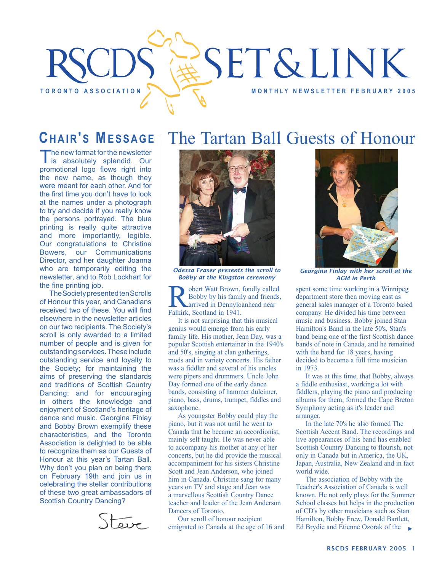# **SET&LINK** TORONTO ASSOCIATION **A REALLY AND A REALLY METER SEPAREMENT ASSOCIATION**

## **CHAIR'S MESSAGE**

The new format for the newsletter<br>is absolutely splendid. Our promotional logo flows right into the new name, as though they were meant for each other. And for the first time you don't have to look at the names under a photograph to try and decide if you really know the persons portrayed. The blue printing is really quite attractive and more importantly, legible. Our congratulations to Christine Bowers, our Communications Director, and her daughter Joanna who are temporarily editing the newsletter, and to Rob Lockhart for the fine printing job.

The Society presented ten Scrolls of Honour this year, and Canadians received two of these. You will find elsewhere in the newsletter articles on our two recipients. The Society's scroll is only awarded to a limited number of people and is given for outstanding services. These include outstanding service and loyalty to the Society; for maintaining the aims of preserving the standards and traditions of Scottish Country Dancing; and for encouraging in others the knowledge and enjoyment of Scotland's heritage of dance and music. Georgina Finlay and Bobby Brown exemplify these characteristics, and the Toronto Association is delighted to be able to recognize them as our Guests of Honour at this year's Tartan Ball. Why don't you plan on being there on February 19th and join us in celebrating the stellar contributions of these two great ambassadors of Scottish Country Dancing?



# The Tartan Ball Guests of Honour



*Odessa Fraser presents the scroll to Bobby at the Kingston ceremony*

obert Watt Brown, fondly called Bobby by his family and friends, arrived in Dennyloanhead near Falkirk, Scotland in 1941.

It is not surprising that this musical genius would emerge from his early family life. His mother, Jean Day, was a popular Scottish entertainer in the 1940's and 50's, singing at clan gatherings, mods and in variety concerts. His father was a fiddler and several of his uncles were pipers and drummers. Uncle John Day formed one of the early dance bands, consisting of hammer dulcimer, piano, bass, drums, trumpet, fiddles and saxophone.

As youngster Bobby could play the piano, but it was not until he went to Canada that he became an accordionist, mainly self taught. He was never able to accompany his mother at any of her concerts, but he did provide the musical accompaniment for his sisters Christine Scott and Jean Anderson, who joined him in Canada. Christine sang for many years on TV and stage and Jean was a marvellous Scottish Country Dance teacher and leader of the Jean Anderson Dancers of Toronto.

Our scroll of honour recipient emigrated to Canada at the age of 16 and



*Georgina Finlay with her scroll at the AGM in Perth*

spent some time working in a Winnipeg department store then moving east as general sales manager of a Toronto based company. He divided his time between music and business. Bobby joined Stan Hamilton's Band in the late 50's, Stan's band being one of the first Scottish dance bands of note in Canada, and he remained with the band for 18 years, having decided to become a full time musician in 1973.

It was at this time, that Bobby, always a fiddle enthusiast, working a lot with fiddlers, playing the piano and producing albums for them, formed the Cape Breton Symphony acting as it's leader and arranger.

In the late 70's he also formed The Scottish Accent Band. The recordings and live appearances of his band has enabled Scottish Country Dancing to flourish, not only in Canada but in America, the UK, Japan, Australia, New Zealand and in fact world wide.

The association of Bobby with the Teacher's Association of Canada is well known. He not only plays for the Summer School classes but helps in the production of CD's by other musicians such as Stan Hamilton, Bobby Frew, Donald Bartlett, Ed Brydie and Etienne Ozorak of the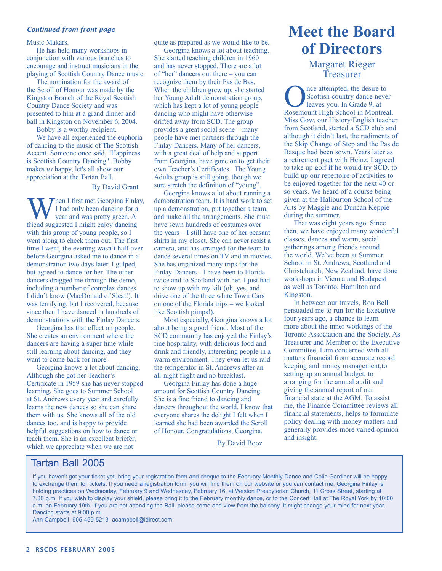#### *Continued from front page*

Music Makars.

He has held many workshops in conjunction with various branches to encourage and instruct musicians in the playing of Scottish Country Dance music.

The nomination for the award of the Scroll of Honour was made by the Kingston Branch of the Royal Scottish Country Dance Society and was presented to him at a grand dinner and ball in Kingston on November 6, 2004.

Bobby is a worthy recipient.

We have all experienced the euphoria of dancing to the music of The Scottish Accent. Someone once said, "Happiness is Scottish Country Dancing". Bobby makes *us* happy, let's all show our appreciation at the Tartan Ball.

#### By David Grant

Then I first met Georgina Finlay, I had only been dancing for a year and was pretty green. A friend suggested I might enjoy dancing with this group of young people, so I went along to check them out. The first time I went, the evening wasn't half over before Georgina asked me to dance in a demonstration two days later. I gulped, but agreed to dance for her. The other dancers dragged me through the demo, including a number of complex dances I didn't know (MacDonald of Sleat!). It was terrifying, but I recovered, because since then I have danced in hundreds of demonstrations with the Finlay Dancers.

Georgina has that effect on people. She creates an environment where the dancers are having a super time while still learning about dancing, and they want to come back for more.

Georgina knows a lot about dancing. Although she got her Teacher's Certificate in 1959 she has never stopped learning. She goes to Summer School at St. Andrews every year and carefully learns the new dances so she can share them with us. She knows all of the old dances too, and is happy to provide helpful suggestions on how to dance or teach them. She is an excellent briefer, which we appreciate when we are not

quite as prepared as we would like to be.

Georgina knows a lot about teaching. She started teaching children in 1960 and has never stopped. There are a lot of "her" dancers out there – you can recognize them by their Pas de Bas. When the children grew up, she started her Young Adult demonstration group, which has kept a lot of young people dancing who might have otherwise drifted away from SCD. The group provides a great social scene – many people have met partners through the Finlay Dancers. Many of her dancers, with a great deal of help and support from Georgina, have gone on to get their own Teacher's Certificates. The Young Adults group is still going, though we sure stretch the definition of "young".

Georgina knows a lot about running a demonstration team. It is hard work to set up a demonstration, put together a team, and make all the arrangements. She must have sewn hundreds of costumes over the years – I still have one of her peasant shirts in my closet. She can never resist a camera, and has arranged for the team to dance several times on TV and in movies. She has organized many trips for the Finlay Dancers - I have been to Florida twice and to Scotland with her. I just had to show up with my kilt (oh, yes, and drive one of the three white Town Cars on one of the Florida trips – we looked like Scottish pimps!).

Most especially, Georgina knows a lot about being a good friend. Most of the SCD community has enjoyed the Finlay's fine hospitality, with delicious food and drink and friendly, interesting people in a warm environment. They even let us raid the refrigerator in St. Andrews after an all-night flight and no breakfast.

Georgina Finlay has done a huge amount for Scottish Country Dancing. She is a fine friend to dancing and dancers throughout the world. I know that everyone shares the delight I felt when I learned she had been awarded the Scroll of Honour. Congratulations, Georgina.

By David Booz

# **Meet the Board of Directors**

Margaret Rieger Treasurer

The attempted, the desire to<br>Scottish country dance never<br>Rosemount High School in Montrea Scottish country dance never leaves you. In Grade 9, at Rosemount High School in Montreal, Miss Gow, our History/English teacher from Scotland, started a SCD club and although it didn't last, the rudiments of the Skip Change of Step and the Pas de Basque had been sown. Years later as a retirement pact with Heinz, I agreed to take up golf if he would try SCD, to build up our repertoire of activities to be enjoyed together for the next 40 or so years. We heard of a course being given at the Haliburton School of the Arts by Maggie and Duncan Keppie during the summer.

That was eight years ago. Since then, we have enjoyed many wonderful classes, dances and warm, social gatherings among friends around the world. We've been at Summer School in St. Andrews, Scotland and Christchurch, New Zealand; have done workshops in Vienna and Budapest as well as Toronto, Hamilton and Kingston.

In between our travels, Ron Bell persuaded me to run for the Executive four years ago, a chance to learn more about the inner workings of the Toronto Association and the Society. As Treasurer and Member of the Executive Committee, I am concerned with all matters financial from accurate record keeping and money management,to setting up an annual budget, to arranging for the annual audit and giving the annual report of our financial state at the AGM. To assist me, the Finance Committee reviews all financial statements, helps to formulate policy dealing with money matters and generally provides more varied opinion and insight.

#### Tartan Ball 2005

If you haven't got your ticket yet, bring your registration form and cheque to the February Monthly Dance and Colin Gardiner will be happy to exchange them for tickets. If you need a registration form, you will find them on our website or you can contact me. Georgina Finlay is holding practices on Wednesday, February 9 and Wednesday, February 16, at Weston Presbyterian Church, 11 Cross Street, starting at 7.30 p.m. If you wish to display your shield, please bring it to the February monthly dance, or to the Concert Hall at The Royal York by 10:00 a.m. on February 19th. If you are not attending the Ball, please come and view from the balcony. It might change your mind for next year. Dancing starts at 9:00 p.m.

Ann Campbell 905-459-5213 acampbell@idirect.com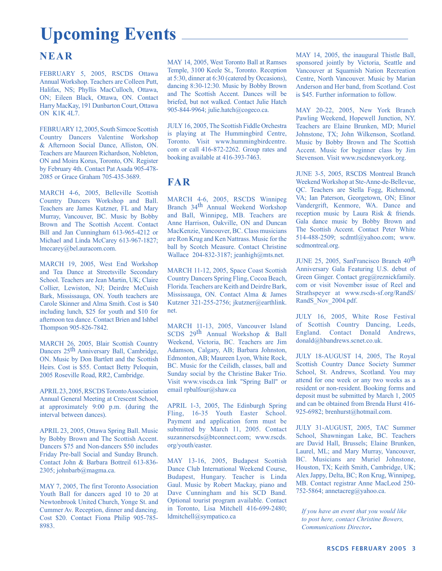# **Upcoming Events**

#### **NEAR**

FEBRUARY 5, 2005, RSCDS Ottawa Annual Workshop. Teachers are Colleen Putt, Halifax, NS; Phyllis MacCulloch, Ottawa, ON; Eileen Black, Ottawa, ON. Contact Harry MacKay, 191 Dunbarton Court, Ottawa ON K1K 4L7.

FEBRUARY 12, 2005, South Simcoe Scottish Country Dancers Valentine Workshop & Afternoon Social Dance, Alliston, ON. Teachers are Maureen Richardson, Nobleton, ON and Moira Korus, Toronto, ON. Register by February 4th. Contact Pat Asada 905-478- 2085 or Grace Graham 705-435-3689.

MARCH 4-6, 2005, Belleville Scottish Country Dancers Workshop and Ball. Teachers are James Kutzner, FL and Mary Murray, Vancouver, BC. Music by Bobby Brown and The Scottish Accent. Contact Bill and Jan Cunningham 613-965-4212 or Michael and Linda McCarey 613-967-1827; lmccarey@bel.auracom.com.

MARCH 19, 2005, West End Workshop and Tea Dance at Streetsville Secondary School. Teachers are Jean Martin, UK; Claire Collier, Lewiston, NJ; Deirdre McCuish Bark, Mississauga, ON. Youth teachers are Carole Skinner and Alma Smith. Cost is \$40 including lunch, \$25 for youth and \$10 for afternoon tea dance. Contact Brien and Ishbel Thompson 905-826-7842.

MARCH 26, 2005, Blair Scottish Country Dancers 25<sup>th</sup> Anniversary Ball, Cambridge, ON. Music by Don Bartlett and the Scottish Heirs. Cost is \$55. Contact Betty Peloquin, 2005 Roseville Road, RR2, Cambridge.

APRIL 23, 2005, RSCDS Toronto Association Annual General Meeting at Crescent School, at approximately 9:00 p.m. (during the interval between dances).

APRIL 23, 2005, Ottawa Spring Ball. Music by Bobby Brown and The Scottish Accent. Dancers \$75 and Non-dancers \$50 includes Friday Pre-ball Social and Sunday Brunch. Contact John & Barbara Bottreil 613-836- 2305; johnbarb@magma.ca.

MAY 7, 2005, The first Toronto Association Youth Ball for dancers aged 10 to 20 at Newtonbrook United Church, Yonge St. and Cummer Av. Reception, dinner and dancing. Cost \$20. Contact Fiona Philip 905-785- 8983.

MAY 14, 2005, West Toronto Ball at Ramses Temple, 3100 Keele St., Toronto. Reception at 5:30, dinner at 6:30 (catered by Occasions), dancing 8:30-12:30. Music by Bobby Brown and The Scottish Accent. Dances will be briefed, but not walked. Contact Julie Hatch 905-844-9964; julie.hatch@cogeco.ca.

JULY 16, 2005, The Scottish Fiddle Orchestra is playing at The Hummingbird Centre, Toronto. Visit www.hummingbirdcentre. com or call 416-872-2262. Group rates and booking available at 416-393-7463.

#### **FAR**

MARCH 4-6, 2005, RSCDS Winnipeg Branch 34th Annual Weekend Workshop and Ball, Winnipeg, MB. Teachers are Anne Harrison, Oakville, ON and Duncan MacKenzie, Vancouver, BC. Class musicians are Ron Krug and Ken Nattrass. Music for the ball by Scotch Measure. Contact Christine Wallace 204-832-3187; jeanhigh@mts.net.

MARCH 11-12, 2005, Space Coast Scottish Country Dancers Spring Fling, Cocoa Beach, Florida. Teachers are Keith and Deirdre Bark, Mississauga, ON. Contact Alma & James Kutzner 321-255-2756; jkutzner@earthlink. net.

MARCH 11-13, 2005, Vancouver Island SCDS 29th Annual Workshop & Ball Weekend, Victoria, BC. Teachers are Jim Adamson, Calgary, AB; Barbara Johnston, Edmonton, AB; Maureen Lyon, White Rock, BC. Music for the Ceilidh, classes, ball and Sunday social by the Christine Baker Trio. Visit www.viscds.ca link "Spring Ball" or email rpbalfour@shaw.ca

APRIL 1-3, 2005, The Edinburgh Spring Fling, 16-35 Youth Easter School. Payment and application form must be submitted by March 11, 2005. Contact suzannerscds@btconnect.com; www.rscds. org/youth/easter.

MAY 13-16, 2005, Budapest Scottish Dance Club International Weekend Course, Budapest, Hungary. Teacher is Linda Gaul. Music by Robert Mackay, piano and Dave Cunningham and his SCD Band. Optional tourist program available. Contact in Toronto, Lisa Mitchell 416-699-2480; ldmitchell@sympatico.ca

MAY 14, 2005, the inaugural Thistle Ball, sponsored jointly by Victoria, Seattle and Vancouver at Squamish Nation Recreation Centre, North Vancouver. Music by Marian Anderson and Her band, from Scotland. Cost is \$45. Further information to follow.

MAY 20-22, 2005, New York Branch Pawling Weekend, Hopewell Junction, NY. Teachers are Elaine Brunken, MD; Muriel Johnstone, TX; John Wilkenson, Scotland. Music by Bobby Brown and The Scottish Accent. Music for beginner class by Jim Stevenson. Visit www.rscdsnewyork.org.

JUNE 3-5, 2005, RSCDS Montreal Branch Weekend Workshop at Ste-Anne-de-Bellevue, QC. Teachers are Stella Fogg, Richmond, VA; Ian Paterson, Georgetown, ON; Elinor Vandergrift, Kenmore, WA. Dance and reception music by Laura Risk & friends. Gala dance music by Bobby Brown and The Scottish Accent. Contact Peter White 514-488-2509; scdmtl@yahoo.com; www. scdmontreal.org.

JUNE 25, 2005, SanFrancisco Branch 40th Anniversary Gala Featuring U.S. debut of Green Ginger. Contact greg@reznickfamily. com or visit November issue of Reel and Strathspeyer at www.rscds-sf.org/RandS/ RandS Nov 2004.pdf.

JULY 16, 2005, White Rose Festival of Scottish Country Dancing, Leeds, England. Contact Donald Andrews, donald@hbandrews.scnet.co.uk.

JULY 18-AUGUST 14, 2005, The Royal Scottish Country Dance Society Summer School, St. Andrews, Scotland. You may attend for one week or any two weeks as a resident or non-resident. Booking forms and deposit must be submitted by March 1, 2005 and can be obtained from Brenda Hurst 416- 925-6982; brenhurst@hotmail.com.

JULY 31-AUGUST, 2005, TAC Summer School, Shawningan Lake, BC. Teachers are David Hall, Brussels; Elaine Brunken, Laurel, ML; and Mary Murray, Vancouver, BC. Musicians are Muriel Johnstone, Houston, TX; Keith Smith, Cambridge, UK; Alex Jappy, Delta, BC; Ron Krug, Winnipeg, MB. Contact registrar Anne MacLeod 250- 752-5864; annetacreg@yahoo.ca.

*If you have an event that you would like to post here, contact Christine Bowers, Communications Director*.